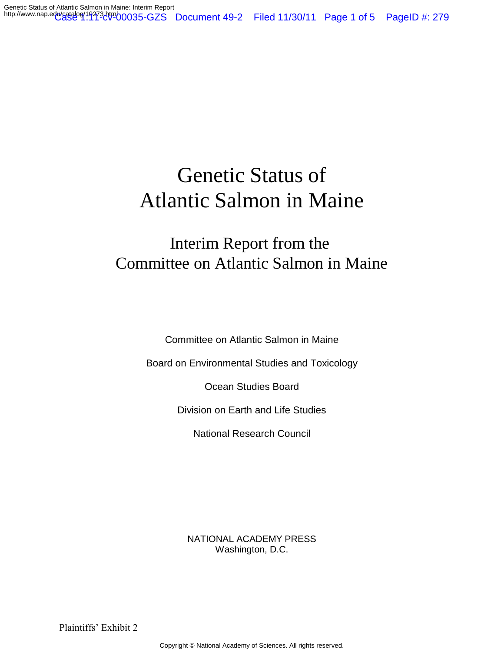# Genetic Status of Atlantic Salmon in Maine

### Interim Report from the Committee on Atlantic Salmon in Maine

Committee on Atlantic Salmon in Maine

Board on Environmental Studies and Toxicology

Ocean Studies Board

Division on Earth and Life Studies

National Research Council

NATIONAL ACADEMY PRESS Washington, D.C.

Plaintiffs' Exhibit 2

Copyright © National Academy of Sciences. All rights reserved.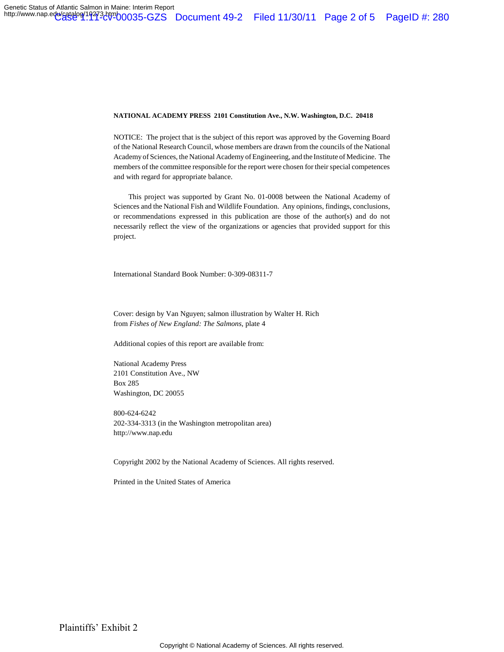#### **NATIONAL ACADEMY PRESS 2101 Constitution Ave., N.W. Washington, D.C. 20418**

NOTICE: The project that is the subject of this report was approved by the Governing Board of the National Research Council, whose members are drawn from the councils of the National Academy of Sciences, the National Academy of Engineering, and the Institute of Medicine. The members of the committee responsible for the report were chosen for their special competences and with regard for appropriate balance.

This project was supported by Grant No. 01-0008 between the National Academy of Sciences and the National Fish and Wildlife Foundation. Any opinions, findings, conclusions, or recommendations expressed in this publication are those of the author(s) and do not necessarily reflect the view of the organizations or agencies that provided support for this project.

International Standard Book Number: 0-309-08311-7

Cover: design by Van Nguyen; salmon illustration by Walter H. Rich from *Fishes of New England: The Salmons*, plate 4

Additional copies of this report are available from:

National Academy Press 2101 Constitution Ave., NW Box 285 Washington, DC 20055

800-624-6242 202-334-3313 (in the Washington metropolitan area) http://www.nap.edu

Copyright 2002 by the National Academy of Sciences. All rights reserved.

Printed in the United States of America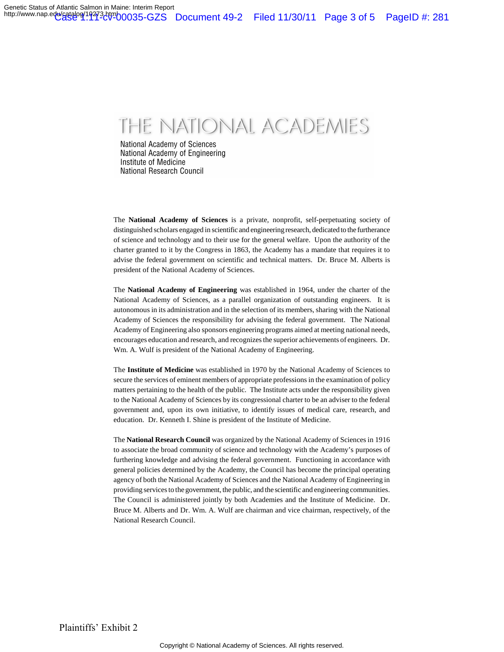## THE NATIONAL ACADEMIES

National Academy of Sciences National Academy of Engineering Institute of Medicine **National Research Council** 

The **National Academy of Sciences** is a private, nonprofit, self-perpetuating society of distinguished scholars engaged in scientific and engineering research, dedicated to the furtherance of science and technology and to their use for the general welfare. Upon the authority of the charter granted to it by the Congress in 1863, the Academy has a mandate that requires it to advise the federal government on scientific and technical matters. Dr. Bruce M. Alberts is president of the National Academy of Sciences.

The **National Academy of Engineering** was established in 1964, under the charter of the National Academy of Sciences, as a parallel organization of outstanding engineers. It is autonomous in its administration and in the selection of its members, sharing with the National Academy of Sciences the responsibility for advising the federal government. The National Academy of Engineering also sponsors engineering programs aimed at meeting national needs, encourages education and research, and recognizes the superior achievements of engineers. Dr. Wm. A. Wulf is president of the National Academy of Engineering.

The **Institute of Medicine** was established in 1970 by the National Academy of Sciences to secure the services of eminent members of appropriate professions in the examination of policy matters pertaining to the health of the public. The Institute acts under the responsibility given to the National Academy of Sciences by its congressional charter to be an adviser to the federal government and, upon its own initiative, to identify issues of medical care, research, and education. Dr. Kenneth I. Shine is president of the Institute of Medicine.

The **National Research Council** was organized by the National Academy of Sciences in 1916 to associate the broad community of science and technology with the Academy's purposes of furthering knowledge and advising the federal government. Functioning in accordance with general policies determined by the Academy, the Council has become the principal operating agency of both the National Academy of Sciences and the National Academy of Engineering in providing services to the government, the public, and the scientific and engineering communities. The Council is administered jointly by both Academies and the Institute of Medicine. Dr. Bruce M. Alberts and Dr. Wm. A. Wulf are chairman and vice chairman, respectively, of the National Research Council.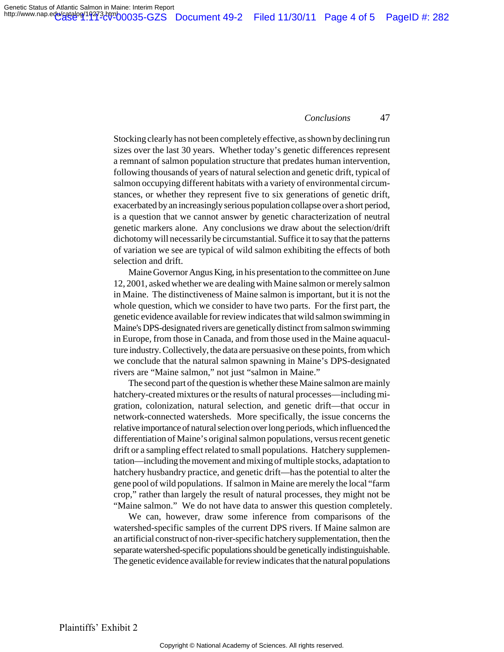### *Conclusions* 47

Stocking clearly has not been completely effective, as shown by declining run sizes over the last 30 years. Whether today's genetic differences represent a remnant of salmon population structure that predates human intervention, following thousands of years of natural selection and genetic drift, typical of salmon occupying different habitats with a variety of environmental circumstances, or whether they represent five to six generations of genetic drift, exacerbated by an increasingly serious population collapse over a short period, is a question that we cannot answer by genetic characterization of neutral genetic markers alone. Any conclusions we draw about the selection/drift dichotomy will necessarily be circumstantial. Suffice it to say that the patterns of variation we see are typical of wild salmon exhibiting the effects of both selection and drift.

Maine Governor Angus King, in his presentation to the committee on June 12, 2001, asked whether we are dealing with Maine salmon or merely salmon in Maine. The distinctiveness of Maine salmon is important, but it is not the whole question, which we consider to have two parts. For the first part, the genetic evidence available for review indicates that wild salmon swimming in Maine's DPS-designated rivers are genetically distinct from salmon swimming in Europe, from those in Canada, and from those used in the Maine aquaculture industry. Collectively, the data are persuasive on these points, from which we conclude that the natural salmon spawning in Maine's DPS-designated rivers are "Maine salmon," not just "salmon in Maine."

The second part of the question is whether these Maine salmon are mainly hatchery-created mixtures or the results of natural processes—including migration, colonization, natural selection, and genetic drift—that occur in network-connected watersheds. More specifically, the issue concerns the relative importance of natural selection over long periods, which influenced the differentiation of Maine's original salmon populations, versus recent genetic drift or a sampling effect related to small populations. Hatchery supplementation—including the movement and mixing of multiple stocks, adaptation to hatchery husbandry practice, and genetic drift—has the potential to alter the gene pool of wild populations. If salmon in Maine are merely the local "farm crop," rather than largely the result of natural processes, they might not be "Maine salmon." We do not have data to answer this question completely.

We can, however, draw some inference from comparisons of the watershed-specific samples of the current DPS rivers. If Maine salmon are an artificial construct of non-river-specific hatchery supplementation, then the separate watershed-specific populations should be genetically indistinguishable. The genetic evidence available for review indicates that the natural populations